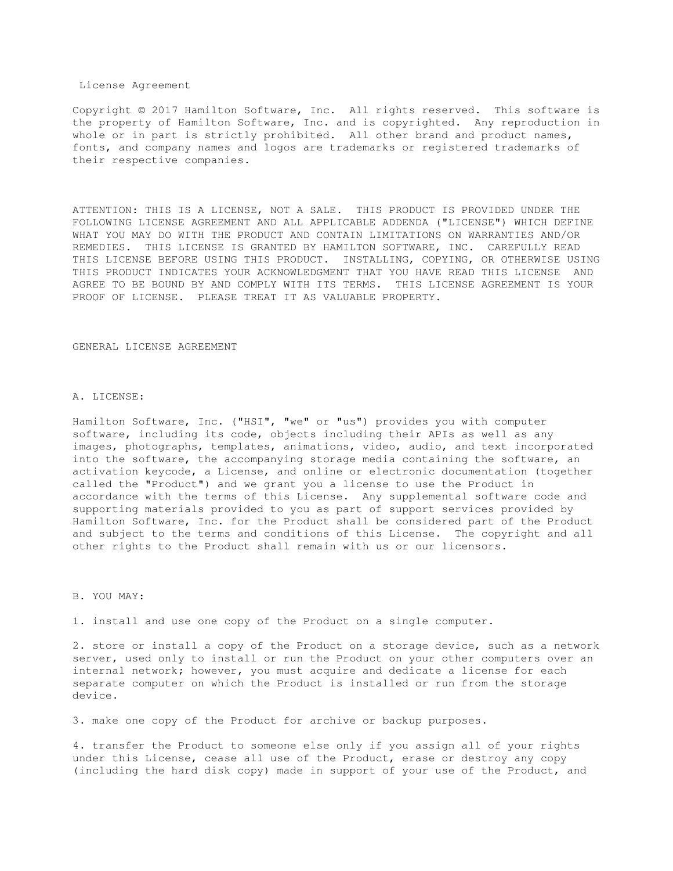## License Agreement

Copyright © 2017 Hamilton Software, Inc. All rights reserved. This software is the property of Hamilton Software, Inc. and is copyrighted. Any reproduction in whole or in part is strictly prohibited. All other brand and product names, fonts, and company names and logos are trademarks or registered trademarks of their respective companies.

ATTENTION: THIS IS A LICENSE, NOT A SALE. THIS PRODUCT IS PROVIDED UNDER THE FOLLOWING LICENSE AGREEMENT AND ALL APPLICABLE ADDENDA ("LICENSE") WHICH DEFINE WHAT YOU MAY DO WITH THE PRODUCT AND CONTAIN LIMITATIONS ON WARRANTIES AND/OR REMEDIES. THIS LICENSE IS GRANTED BY HAMILTON SOFTWARE, INC. CAREFULLY READ THIS LICENSE BEFORE USING THIS PRODUCT. INSTALLING, COPYING, OR OTHERWISE USING THIS PRODUCT INDICATES YOUR ACKNOWLEDGMENT THAT YOU HAVE READ THIS LICENSE AND AGREE TO BE BOUND BY AND COMPLY WITH ITS TERMS. THIS LICENSE AGREEMENT IS YOUR PROOF OF LICENSE. PLEASE TREAT IT AS VALUABLE PROPERTY.

#### GENERAL LICENSE AGREEMENT

## A. LICENSE:

Hamilton Software, Inc. ("HSI", "we" or "us") provides you with computer software, including its code, objects including their APIs as well as any images, photographs, templates, animations, video, audio, and text incorporated into the software, the accompanying storage media containing the software, an activation keycode, a License, and online or electronic documentation (together called the "Product") and we grant you a license to use the Product in accordance with the terms of this License. Any supplemental software code and supporting materials provided to you as part of support services provided by Hamilton Software, Inc. for the Product shall be considered part of the Product and subject to the terms and conditions of this License. The copyright and all other rights to the Product shall remain with us or our licensors.

### B. YOU MAY:

1. install and use one copy of the Product on a single computer.

2. store or install a copy of the Product on a storage device, such as a network server, used only to install or run the Product on your other computers over an internal network; however, you must acquire and dedicate a license for each separate computer on which the Product is installed or run from the storage device.

3. make one copy of the Product for archive or backup purposes.

4. transfer the Product to someone else only if you assign all of your rights under this License, cease all use of the Product, erase or destroy any copy (including the hard disk copy) made in support of your use of the Product, and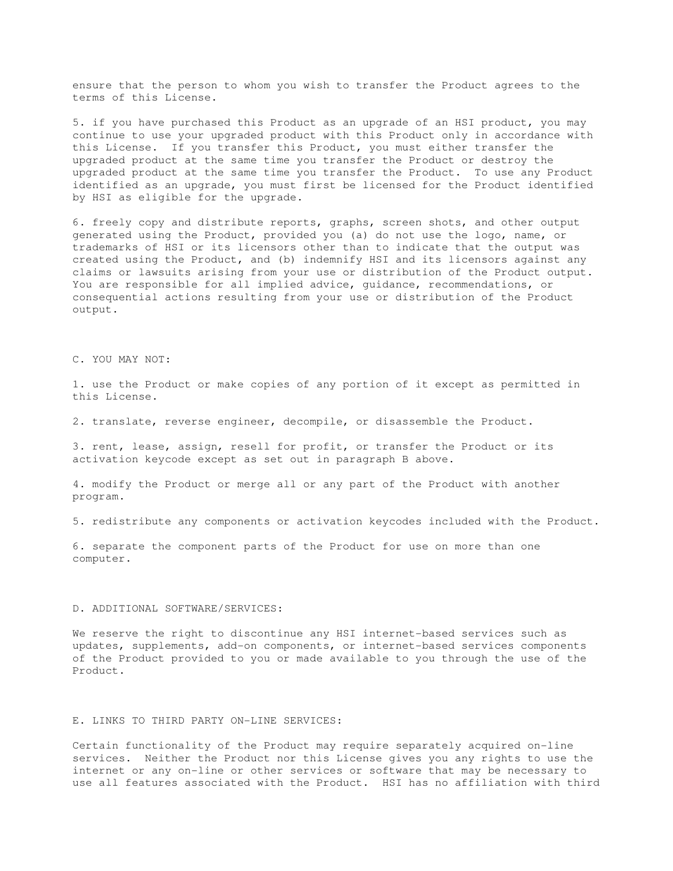ensure that the person to whom you wish to transfer the Product agrees to the terms of this License.

5. if you have purchased this Product as an upgrade of an HSI product, you may continue to use your upgraded product with this Product only in accordance with this License. If you transfer this Product, you must either transfer the upgraded product at the same time you transfer the Product or destroy the upgraded product at the same time you transfer the Product. To use any Product identified as an upgrade, you must first be licensed for the Product identified by HSI as eligible for the upgrade.

6. freely copy and distribute reports, graphs, screen shots, and other output generated using the Product, provided you (a) do not use the logo, name, or trademarks of HSI or its licensors other than to indicate that the output was created using the Product, and (b) indemnify HSI and its licensors against any claims or lawsuits arising from your use or distribution of the Product output. You are responsible for all implied advice, guidance, recommendations, or consequential actions resulting from your use or distribution of the Product output.

C. YOU MAY NOT:

1. use the Product or make copies of any portion of it except as permitted in this License.

2. translate, reverse engineer, decompile, or disassemble the Product.

3. rent, lease, assign, resell for profit, or transfer the Product or its activation keycode except as set out in paragraph B above.

4. modify the Product or merge all or any part of the Product with another program.

5. redistribute any components or activation keycodes included with the Product.

6. separate the component parts of the Product for use on more than one computer.

### D. ADDITIONAL SOFTWARE/SERVICES:

We reserve the right to discontinue any HSI internet-based services such as updates, supplements, add-on components, or internet-based services components of the Product provided to you or made available to you through the use of the Product.

# E. LINKS TO THIRD PARTY ON-LINE SERVICES:

Certain functionality of the Product may require separately acquired on-line services. Neither the Product nor this License gives you any rights to use the internet or any on-line or other services or software that may be necessary to use all features associated with the Product. HSI has no affiliation with third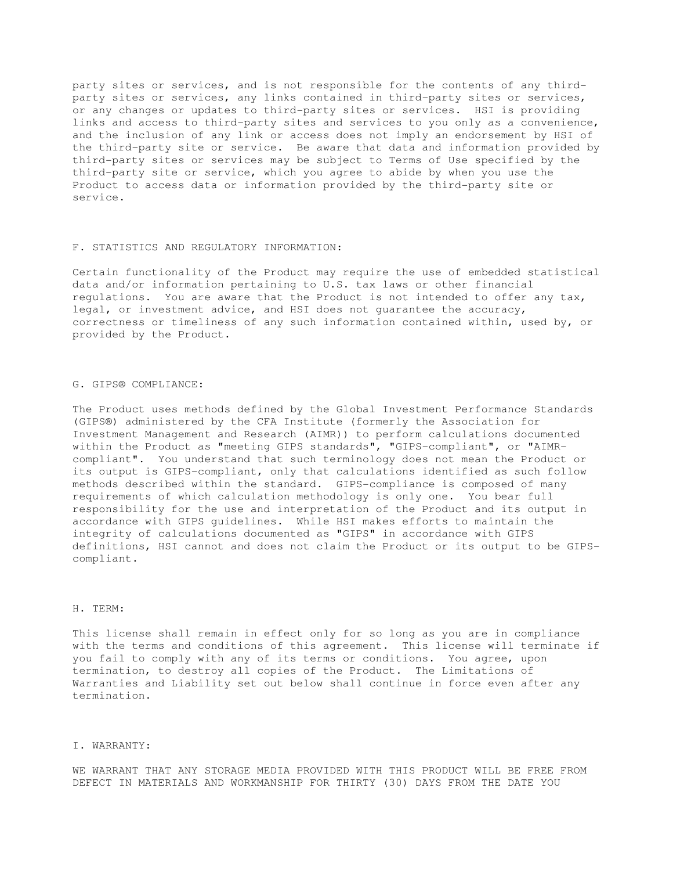party sites or services, and is not responsible for the contents of any thirdparty sites or services, any links contained in third-party sites or services, or any changes or updates to third-party sites or services. HSI is providing links and access to third-party sites and services to you only as a convenience, and the inclusion of any link or access does not imply an endorsement by HSI of the third-party site or service. Be aware that data and information provided by third-party sites or services may be subject to Terms of Use specified by the third-party site or service, which you agree to abide by when you use the Product to access data or information provided by the third-party site or service.

## F. STATISTICS AND REGULATORY INFORMATION:

Certain functionality of the Product may require the use of embedded statistical data and/or information pertaining to U.S. tax laws or other financial regulations. You are aware that the Product is not intended to offer any tax, legal, or investment advice, and HSI does not guarantee the accuracy, correctness or timeliness of any such information contained within, used by, or provided by the Product.

## G. GIPS® COMPLIANCE:

The Product uses methods defined by the Global Investment Performance Standards (GIPS®) administered by the CFA Institute (formerly the Association for Investment Management and Research (AIMR)) to perform calculations documented within the Product as "meeting GIPS standards", "GIPS-compliant", or "AIMRcompliant". You understand that such terminology does not mean the Product or its output is GIPS-compliant, only that calculations identified as such follow methods described within the standard. GIPS-compliance is composed of many requirements of which calculation methodology is only one. You bear full responsibility for the use and interpretation of the Product and its output in accordance with GIPS guidelines. While HSI makes efforts to maintain the integrity of calculations documented as "GIPS" in accordance with GIPS definitions, HSI cannot and does not claim the Product or its output to be GIPScompliant.

## H. TERM:

This license shall remain in effect only for so long as you are in compliance with the terms and conditions of this agreement. This license will terminate if you fail to comply with any of its terms or conditions. You agree, upon termination, to destroy all copies of the Product. The Limitations of Warranties and Liability set out below shall continue in force even after any termination.

### I. WARRANTY:

WE WARRANT THAT ANY STORAGE MEDIA PROVIDED WITH THIS PRODUCT WILL BE FREE FROM DEFECT IN MATERIALS AND WORKMANSHIP FOR THIRTY (30) DAYS FROM THE DATE YOU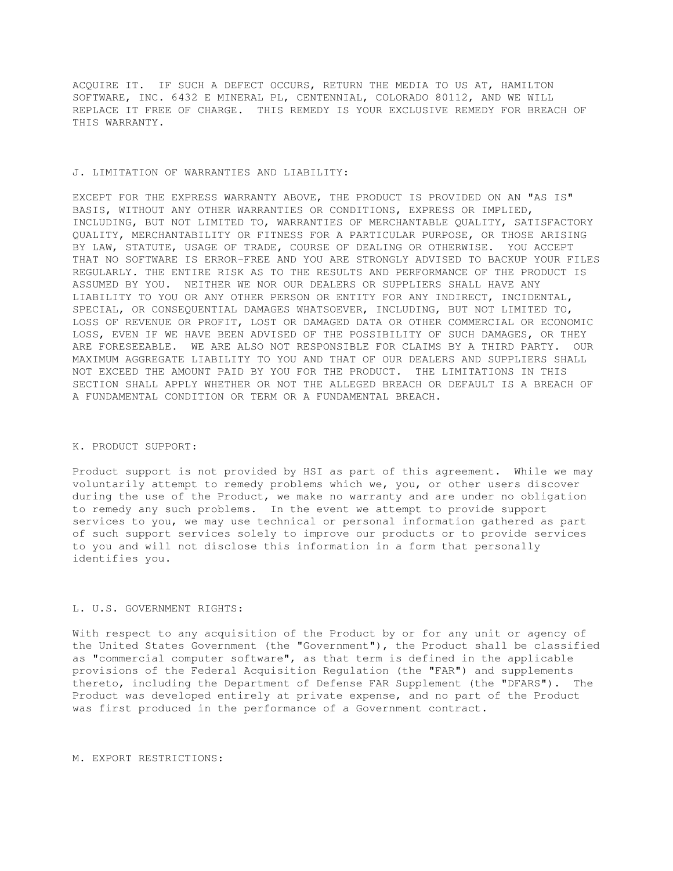ACQUIRE IT. IF SUCH A DEFECT OCCURS, RETURN THE MEDIA TO US AT, HAMILTON SOFTWARE, INC. 6432 E MINERAL PL, CENTENNIAL, COLORADO 80112, AND WE WILL REPLACE IT FREE OF CHARGE. THIS REMEDY IS YOUR EXCLUSIVE REMEDY FOR BREACH OF THIS WARRANTY.

### J. LIMITATION OF WARRANTIES AND LIABILITY:

EXCEPT FOR THE EXPRESS WARRANTY ABOVE, THE PRODUCT IS PROVIDED ON AN "AS IS" BASIS, WITHOUT ANY OTHER WARRANTIES OR CONDITIONS, EXPRESS OR IMPLIED, INCLUDING, BUT NOT LIMITED TO, WARRANTIES OF MERCHANTABLE QUALITY, SATISFACTORY QUALITY, MERCHANTABILITY OR FITNESS FOR A PARTICULAR PURPOSE, OR THOSE ARISING BY LAW, STATUTE, USAGE OF TRADE, COURSE OF DEALING OR OTHERWISE. YOU ACCEPT THAT NO SOFTWARE IS ERROR-FREE AND YOU ARE STRONGLY ADVISED TO BACKUP YOUR FILES REGULARLY. THE ENTIRE RISK AS TO THE RESULTS AND PERFORMANCE OF THE PRODUCT IS ASSUMED BY YOU. NEITHER WE NOR OUR DEALERS OR SUPPLIERS SHALL HAVE ANY LIABILITY TO YOU OR ANY OTHER PERSON OR ENTITY FOR ANY INDIRECT, INCIDENTAL, SPECIAL, OR CONSEQUENTIAL DAMAGES WHATSOEVER, INCLUDING, BUT NOT LIMITED TO, LOSS OF REVENUE OR PROFIT, LOST OR DAMAGED DATA OR OTHER COMMERCIAL OR ECONOMIC LOSS, EVEN IF WE HAVE BEEN ADVISED OF THE POSSIBILITY OF SUCH DAMAGES, OR THEY ARE FORESEEABLE. WE ARE ALSO NOT RESPONSIBLE FOR CLAIMS BY A THIRD PARTY. OUR MAXIMUM AGGREGATE LIABILITY TO YOU AND THAT OF OUR DEALERS AND SUPPLIERS SHALL NOT EXCEED THE AMOUNT PAID BY YOU FOR THE PRODUCT. THE LIMITATIONS IN THIS SECTION SHALL APPLY WHETHER OR NOT THE ALLEGED BREACH OR DEFAULT IS A BREACH OF A FUNDAMENTAL CONDITION OR TERM OR A FUNDAMENTAL BREACH.

## K. PRODUCT SUPPORT:

Product support is not provided by HSI as part of this agreement. While we may voluntarily attempt to remedy problems which we, you, or other users discover during the use of the Product, we make no warranty and are under no obligation to remedy any such problems. In the event we attempt to provide support services to you, we may use technical or personal information gathered as part of such support services solely to improve our products or to provide services to you and will not disclose this information in a form that personally identifies you.

## L. U.S. GOVERNMENT RIGHTS:

With respect to any acquisition of the Product by or for any unit or agency of the United States Government (the "Government"), the Product shall be classified as "commercial computer software", as that term is defined in the applicable provisions of the Federal Acquisition Regulation (the "FAR") and supplements thereto, including the Department of Defense FAR Supplement (the "DFARS"). The Product was developed entirely at private expense, and no part of the Product was first produced in the performance of a Government contract.

## M. EXPORT RESTRICTIONS: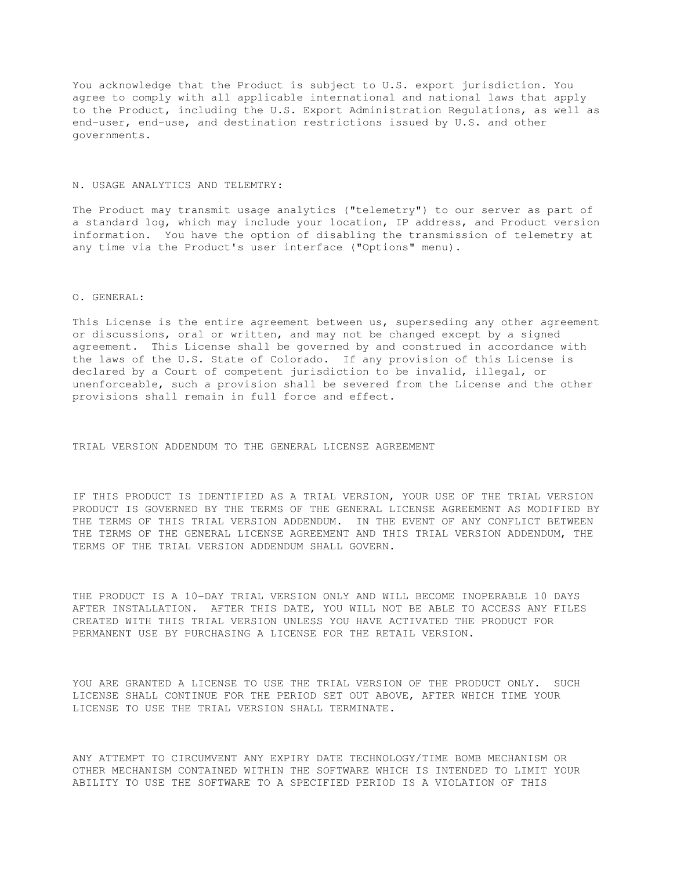You acknowledge that the Product is subject to U.S. export jurisdiction. You agree to comply with all applicable international and national laws that apply to the Product, including the U.S. Export Administration Regulations, as well as end-user, end-use, and destination restrictions issued by U.S. and other governments.

### N. USAGE ANALYTICS AND TELEMTRY:

The Product may transmit usage analytics ("telemetry") to our server as part of a standard log, which may include your location, IP address, and Product version information. You have the option of disabling the transmission of telemetry at any time via the Product's user interface ("Options" menu).

## O. GENERAL:

This License is the entire agreement between us, superseding any other agreement or discussions, oral or written, and may not be changed except by a signed agreement. This License shall be governed by and construed in accordance with the laws of the U.S. State of Colorado. If any provision of this License is declared by a Court of competent jurisdiction to be invalid, illegal, or unenforceable, such a provision shall be severed from the License and the other provisions shall remain in full force and effect.

TRIAL VERSION ADDENDUM TO THE GENERAL LICENSE AGREEMENT

IF THIS PRODUCT IS IDENTIFIED AS A TRIAL VERSION, YOUR USE OF THE TRIAL VERSION PRODUCT IS GOVERNED BY THE TERMS OF THE GENERAL LICENSE AGREEMENT AS MODIFIED BY THE TERMS OF THIS TRIAL VERSION ADDENDUM. IN THE EVENT OF ANY CONFLICT BETWEEN THE TERMS OF THE GENERAL LICENSE AGREEMENT AND THIS TRIAL VERSION ADDENDUM, THE TERMS OF THE TRIAL VERSION ADDENDUM SHALL GOVERN.

THE PRODUCT IS A 10-DAY TRIAL VERSION ONLY AND WILL BECOME INOPERABLE 10 DAYS AFTER INSTALLATION. AFTER THIS DATE, YOU WILL NOT BE ABLE TO ACCESS ANY FILES CREATED WITH THIS TRIAL VERSION UNLESS YOU HAVE ACTIVATED THE PRODUCT FOR PERMANENT USE BY PURCHASING A LICENSE FOR THE RETAIL VERSION.

YOU ARE GRANTED A LICENSE TO USE THE TRIAL VERSION OF THE PRODUCT ONLY. SUCH LICENSE SHALL CONTINUE FOR THE PERIOD SET OUT ABOVE, AFTER WHICH TIME YOUR LICENSE TO USE THE TRIAL VERSION SHALL TERMINATE.

ANY ATTEMPT TO CIRCUMVENT ANY EXPIRY DATE TECHNOLOGY/TIME BOMB MECHANISM OR OTHER MECHANISM CONTAINED WITHIN THE SOFTWARE WHICH IS INTENDED TO LIMIT YOUR ABILITY TO USE THE SOFTWARE TO A SPECIFIED PERIOD IS A VIOLATION OF THIS